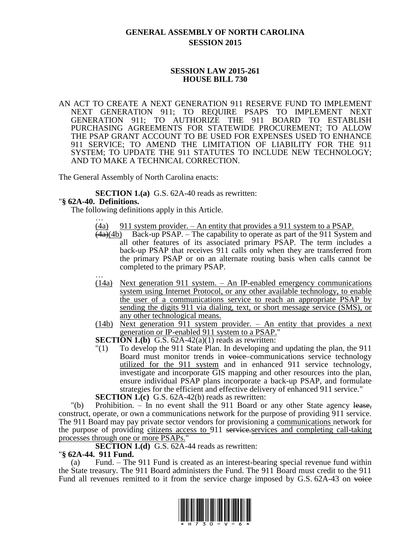# **GENERAL ASSEMBLY OF NORTH CAROLINA SESSION 2015**

### **SESSION LAW 2015-261 HOUSE BILL 730**

AN ACT TO CREATE A NEXT GENERATION 911 RESERVE FUND TO IMPLEMENT NEXT GENERATION 911; TO REQUIRE PSAPS TO IMPLEMENT NEXT GENERATION 911; TO AUTHORIZE THE 911 BOARD TO ESTABLISH PURCHASING AGREEMENTS FOR STATEWIDE PROCUREMENT; TO ALLOW THE PSAP GRANT ACCOUNT TO BE USED FOR EXPENSES USED TO ENHANCE 911 SERVICE; TO AMEND THE LIMITATION OF LIABILITY FOR THE 911 SYSTEM; TO UPDATE THE 911 STATUTES TO INCLUDE NEW TECHNOLOGY; AND TO MAKE A TECHNICAL CORRECTION.

The General Assembly of North Carolina enacts:

**SECTION 1.(a)** G.S. 62A-40 reads as rewritten:

### "**§ 62A-40. Definitions.**

The following definitions apply in this Article. …

- $(4a)$  911 system provider. An entity that provides a 911 system to a PSAP.
- $\frac{(4a)(4b)}{4a}$  Back-up PSAP. The capability to operate as part of the 911 System and all other features of its associated primary PSAP. The term includes a back-up PSAP that receives 911 calls only when they are transferred from the primary PSAP or on an alternate routing basis when calls cannot be completed to the primary PSAP. …
- (14a) Next generation 911 system. An IP-enabled emergency communications system using Internet Protocol, or any other available technology, to enable the user of a communications service to reach an appropriate PSAP by sending the digits 911 via dialing, text, or short message service (SMS), or any other technological means.
- (14b) Next generation 911 system provider. An entity that provides a next generation or IP-enabled 911 system to a PSAP."

**SECTION 1.(b)** G.S.  $62A-42(a)(1)$  reads as rewritten:

"(1) To develop the 911 State Plan. In developing and updating the plan, the 911 Board must monitor trends in voice communications service technology utilized for the 911 system and in enhanced 911 service technology, investigate and incorporate GIS mapping and other resources into the plan, ensure individual PSAP plans incorporate a back-up PSAP, and formulate strategies for the efficient and effective delivery of enhanced 911 service."

**SECTION 1.(c)** G.S. 62A-42(b) reads as rewritten:

"(b) Prohibition. – In no event shall the 911 Board or any other State agency lease, construct, operate, or own a communications network for the purpose of providing 911 service. The 911 Board may pay private sector vendors for provisioning a communications network for the purpose of providing citizens access to 911 service-services and completing call-taking processes through one or more PSAPs."

**SECTION 1.(d)** G.S. 62A-44 reads as rewritten:

#### "**§ 62A-44. 911 Fund.**

(a) Fund. – The 911 Fund is created as an interest-bearing special revenue fund within the State treasury. The 911 Board administers the Fund. The 911 Board must credit to the 911 Fund all revenues remitted to it from the service charge imposed by G.S. 62A-43 on voice

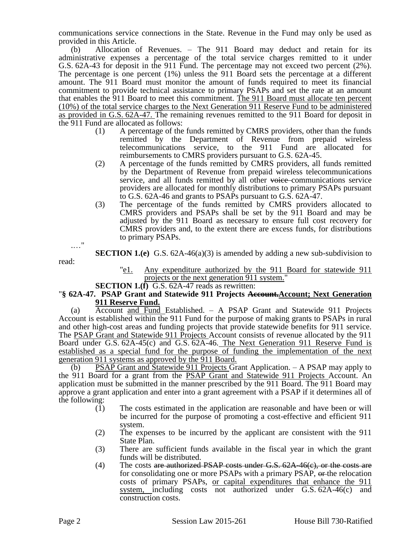communications service connections in the State. Revenue in the Fund may only be used as provided in this Article.

(b) Allocation of Revenues. – The 911 Board may deduct and retain for its administrative expenses a percentage of the total service charges remitted to it under G.S. 62A-43 for deposit in the 911 Fund. The percentage may not exceed two percent (2%). The percentage is one percent (1%) unless the 911 Board sets the percentage at a different amount. The 911 Board must monitor the amount of funds required to meet its financial commitment to provide technical assistance to primary PSAPs and set the rate at an amount that enables the 911 Board to meet this commitment. The 911 Board must allocate ten percent (10%) of the total service charges to the Next Generation 911 Reserve Fund to be administered as provided in G.S. 62A-47. The remaining revenues remitted to the 911 Board for deposit in the 911 Fund are allocated as follows:

- (1) A percentage of the funds remitted by CMRS providers, other than the funds remitted by the Department of Revenue from prepaid wireless telecommunications service, to the 911 Fund are allocated for reimbursements to CMRS providers pursuant to G.S. 62A-45.
- (2) A percentage of the funds remitted by CMRS providers, all funds remitted by the Department of Revenue from prepaid wireless telecommunications service, and all funds remitted by all other voice-communications service providers are allocated for monthly distributions to primary PSAPs pursuant to G.S. 62A-46 and grants to PSAPs pursuant to G.S. 62A-47.
- (3) The percentage of the funds remitted by CMRS providers allocated to CMRS providers and PSAPs shall be set by the 911 Board and may be adjusted by the 911 Board as necessary to ensure full cost recovery for CMRS providers and, to the extent there are excess funds, for distributions to primary PSAPs.

**SECTION 1.(e)** G.S. 62A-46(a)(3) is amended by adding a new sub-subdivision to

- "e1. Any expenditure authorized by the 911 Board for statewide 911 projects or the next generation 911 system."
- **SECTION 1.(f)** G.S. 62A-47 reads as rewritten:

### "**§ 62A-47. PSAP Grant and Statewide 911 Projects Account.Account; Next Generation 911 Reserve Fund.**

(a) Account and Fund Established. – A PSAP Grant and Statewide 911 Projects Account is established within the 911 Fund for the purpose of making grants to PSAPs in rural and other high-cost areas and funding projects that provide statewide benefits for 911 service. The PSAP Grant and Statewide 911 Projects Account consists of revenue allocated by the 911 Board under G.S. 62A-45(c) and G.S. 62A-46. The Next Generation 911 Reserve Fund is established as a special fund for the purpose of funding the implementation of the next generation 911 systems as approved by the 911 Board.

(b) PSAP Grant and Statewide 911 Projects Grant Application. – A PSAP may apply to the 911 Board for a grant from the PSAP Grant and Statewide 911 Projects Account. An application must be submitted in the manner prescribed by the 911 Board. The 911 Board may approve a grant application and enter into a grant agreement with a PSAP if it determines all of the following:

- (1) The costs estimated in the application are reasonable and have been or will be incurred for the purpose of promoting a cost-effective and efficient 911 system.
- (2) The expenses to be incurred by the applicant are consistent with the 911 State Plan.
- (3) There are sufficient funds available in the fiscal year in which the grant funds will be distributed.
- (4) The costs are authorized PSAP costs under  $G.S. 62A-46(c)$ , or the costs are for consolidating one or more PSAPs with a primary PSAP, or the relocation costs of primary PSAPs, or capital expenditures that enhance the 911 system, including costs not authorized under G.S. 62A-46(c) and construction costs.

.…"

read: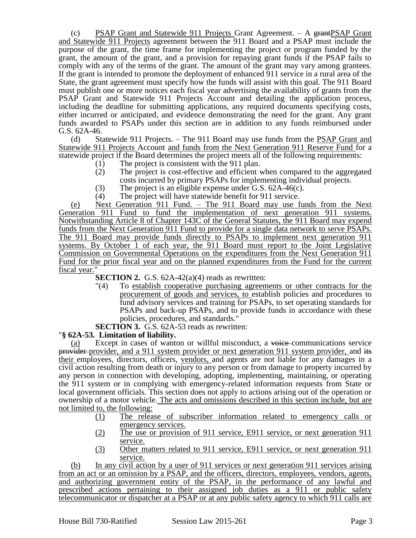(c) PSAP Grant and Statewide 911 Projects Grant Agreement.  $-$  A grantPSAP Grant and Statewide 911 Projects agreement between the 911 Board and a PSAP must include the purpose of the grant, the time frame for implementing the project or program funded by the grant, the amount of the grant, and a provision for repaying grant funds if the PSAP fails to comply with any of the terms of the grant. The amount of the grant may vary among grantees. If the grant is intended to promote the deployment of enhanced 911 service in a rural area of the State, the grant agreement must specify how the funds will assist with this goal. The 911 Board must publish one or more notices each fiscal year advertising the availability of grants from the PSAP Grant and Statewide 911 Projects Account and detailing the application process, including the deadline for submitting applications, any required documents specifying costs, either incurred or anticipated, and evidence demonstrating the need for the grant. Any grant funds awarded to PSAPs under this section are in addition to any funds reimbursed under G.S. 62A-46.

(d) Statewide 911 Projects. – The 911 Board may use funds from the PSAP Grant and Statewide 911 Projects Account and funds from the Next Generation 911 Reserve Fund for a statewide project if the Board determines the project meets all of the following requirements:

- (1) The project is consistent with the 911 plan.<br>(2) The project is cost-effective and efficient v
- The project is cost-effective and efficient when compared to the aggregated costs incurred by primary PSAPs for implementing individual projects.
- 
- (3) The project is an eligible expense under G.S.  $62A-46(c)$ .<br>(4) The project will have statewide benefit for 911 service. The project will have statewide benefit for 911 service.

(e) Next Generation 911 Fund. – The 911 Board may use funds from the Next Generation 911 Fund to fund the implementation of next generation 911 systems. Notwithstanding Article 8 of Chapter 143C of the General Statutes, the 911 Board may expend funds from the Next Generation 911 Fund to provide for a single data network to serve PSAPs. The 911 Board may provide funds directly to PSAPs to implement next generation 911 systems. By October 1 of each year, the 911 Board must report to the Joint Legislative Commission on Governmental Operations on the expenditures from the Next Generation 911 Fund for the prior fiscal year and on the planned expenditures from the Fund for the current fiscal year."

**SECTION 2.** G.S. 62A-42(a)(4) reads as rewritten:

- "(4) To establish cooperative purchasing agreements or other contracts for the procurement of goods and services, to establish policies and procedures to fund advisory services and training for PSAPs, to set operating standards for PSAPs and back-up PSAPs, and to provide funds in accordance with these policies, procedures, and standards."
- **SECTION 3.** G.S. 62A-53 reads as rewritten:

## "**§ 62A-53. Limitation of liability.**

(a) Except in cases of wanton or willful misconduct, a voice communications service provider provider, and a 911 system provider or next generation 911 system provider, and its their employees, directors, officers, vendors, and agents are not liable for any damages in a civil action resulting from death or injury to any person or from damage to property incurred by any person in connection with developing, adopting, implementing, maintaining, or operating the 911 system or in complying with emergency-related information requests from State or local government officials. This section does not apply to actions arising out of the operation or ownership of a motor vehicle. The acts and omissions described in this section include, but are not limited to, the following:

- (1) The release of subscriber information related to emergency calls or emergency services.
- (2) The use or provision of 911 service, E911 service, or next generation 911 service.
- (3) Other matters related to 911 service, E911 service, or next generation 911 service.

(b) In any civil action by a user of 911 services or next generation 911 services arising from an act or an omission by a PSAP, and the officers, directors, employees, vendors, agents, and authorizing government entity of the PSAP, in the performance of any lawful and prescribed actions pertaining to their assigned job duties as a 911 or public safety telecommunicator or dispatcher at a PSAP or at any public safety agency to which 911 calls are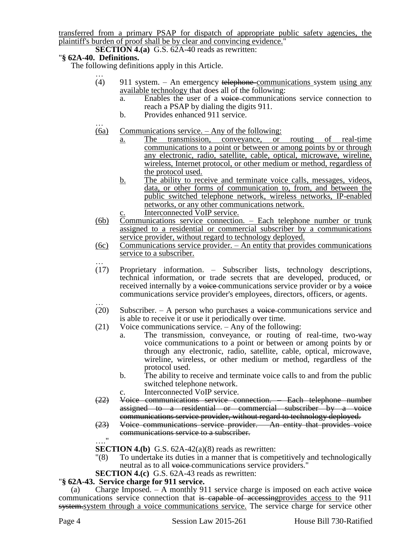transferred from a primary PSAP for dispatch of appropriate public safety agencies, the plaintiff's burden of proof shall be by clear and convincing evidence."

**SECTION 4.(a)** G.S. 62A-40 reads as rewritten:

## "**§ 62A-40. Definitions.**

The following definitions apply in this Article.

- … (4) 911 system. – An emergency telephone communications system using any available technology that does all of the following:
	- a. Enables the user of a voice communications service connection to reach a PSAP by dialing the digits 911.
	- b. Provides enhanced 911 service.
- … (6a) Communications service. – Any of the following:
	- a. The transmission, conveyance, or routing of real-time communications to a point or between or among points by or through any electronic, radio, satellite, cable, optical, microwave, wireline, wireless, Internet protocol, or other medium or method, regardless of the protocol used.
	- b. The ability to receive and terminate voice calls, messages, videos, data, or other forms of communication to, from, and between the public switched telephone network, wireless networks, IP-enabled networks, or any other communications network.
	- Interconnected VoIP service.
- (6b) Communications service connection. Each telephone number or trunk assigned to a residential or commercial subscriber by a communications service provider, without regard to technology deployed.
- (6c) Communications service provider. An entity that provides communications service to a subscriber.
- … (17) Proprietary information. – Subscriber lists, technology descriptions, technical information, or trade secrets that are developed, produced, or received internally by a voice communications service provider or by a voice communications service provider's employees, directors, officers, or agents.
- … (20) Subscriber. – A person who purchases a voice-communications service and is able to receive it or use it periodically over time.
- (21) Voice communications service. Any of the following:
	- a. The transmission, conveyance, or routing of real-time, two-way voice communications to a point or between or among points by or through any electronic, radio, satellite, cable, optical, microwave, wireline, wireless, or other medium or method, regardless of the protocol used.
	- b. The ability to receive and terminate voice calls to and from the public switched telephone network.
	- c. Interconnected VoIP service.
- (22) Voice communications service connection. Each telephone number assigned to a residential or commercial subscriber by a voice communications service provider, without regard to technology deployed.
- (23) Voice communications service provider. An entity that provides voice communications service to a subscriber. …."

**SECTION 4.(b)** G.S.  $62A-42(a)(8)$  reads as rewritten:

- "(8) To undertake its duties in a manner that is competitively and technologically neutral as to all voice-communications service providers."
- **SECTION 4.(c)** G.S. 62A-43 reads as rewritten:

## "**§ 62A-43. Service charge for 911 service.**

(a) Charge Imposed.  $-$  A monthly 911 service charge is imposed on each active voice communications service connection that is capable of accessing provides access to the 911 system.system through a voice communications service. The service charge for service other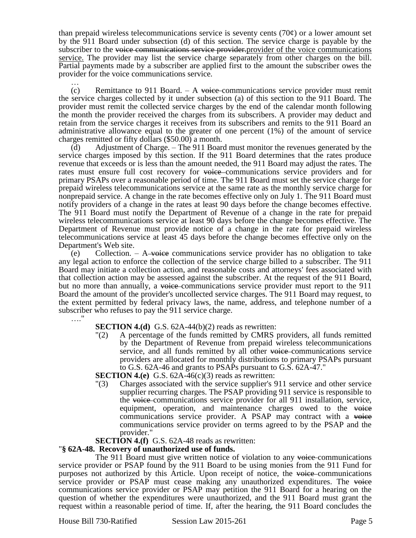than prepaid wireless telecommunications service is seventy cents  $(70¢)$  or a lower amount set by the 911 Board under subsection (d) of this section. The service charge is payable by the subscriber to the voice communications service provider.provider of the voice communications service. The provider may list the service charge separately from other charges on the bill. Partial payments made by a subscriber are applied first to the amount the subscriber owes the provider for the voice communications service.

… (c) Remittance to 911 Board.  $-$  A voice communications service provider must remit the service charges collected by it under subsection (a) of this section to the 911 Board. The provider must remit the collected service charges by the end of the calendar month following the month the provider received the charges from its subscribers. A provider may deduct and retain from the service charges it receives from its subscribers and remits to the 911 Board an administrative allowance equal to the greater of one percent (1%) of the amount of service charges remitted or fifty dollars (\$50.00) a month.

(d) Adjustment of Charge. – The 911 Board must monitor the revenues generated by the service charges imposed by this section. If the 911 Board determines that the rates produce revenue that exceeds or is less than the amount needed, the 911 Board may adjust the rates. The rates must ensure full cost recovery for voice communications service providers and for primary PSAPs over a reasonable period of time. The 911 Board must set the service charge for prepaid wireless telecommunications service at the same rate as the monthly service charge for nonprepaid service. A change in the rate becomes effective only on July 1. The 911 Board must notify providers of a change in the rates at least 90 days before the change becomes effective. The 911 Board must notify the Department of Revenue of a change in the rate for prepaid wireless telecommunications service at least 90 days before the change becomes effective. The Department of Revenue must provide notice of a change in the rate for prepaid wireless telecommunications service at least 45 days before the change becomes effective only on the Department's Web site.

(e) Collection.  $-$  A voice communications service provider has no obligation to take any legal action to enforce the collection of the service charge billed to a subscriber. The 911 Board may initiate a collection action, and reasonable costs and attorneys' fees associated with that collection action may be assessed against the subscriber. At the request of the 911 Board, but no more than annually, a voice-communications service provider must report to the 911 Board the amount of the provider's uncollected service charges. The 911 Board may request, to the extent permitted by federal privacy laws, the name, address, and telephone number of a subscriber who refuses to pay the 911 service charge. …."

### **SECTION 4.(d)** G.S. 62A-44(b)(2) reads as rewritten:

"(2) A percentage of the funds remitted by CMRS providers, all funds remitted by the Department of Revenue from prepaid wireless telecommunications service, and all funds remitted by all other voice-communications service providers are allocated for monthly distributions to primary PSAPs pursuant to G.S. 62A-46 and grants to PSAPs pursuant to G.S. 62A-47."

**SECTION 4.(e)** G.S. 62A-46(c)(3) reads as rewritten:

"(3) Charges associated with the service supplier's 911 service and other service supplier recurring charges. The PSAP providing 911 service is responsible to the voice communications service provider for all 911 installation, service, equipment, operation, and maintenance charges owed to the voice communications service provider. A PSAP may contract with a voice communications service provider on terms agreed to by the PSAP and the provider."

### **SECTION 4.(f)** G.S. 62A-48 reads as rewritten:

### "**§ 62A-48. Recovery of unauthorized use of funds.**

The 911 Board must give written notice of violation to any voice-communications service provider or PSAP found by the 911 Board to be using monies from the 911 Fund for purposes not authorized by this Article. Upon receipt of notice, the voice communications service provider or PSAP must cease making any unauthorized expenditures. The voice communications service provider or PSAP may petition the 911 Board for a hearing on the question of whether the expenditures were unauthorized, and the 911 Board must grant the request within a reasonable period of time. If, after the hearing, the 911 Board concludes the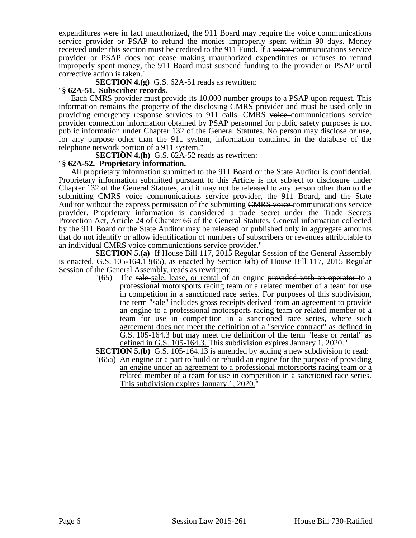expenditures were in fact unauthorized, the 911 Board may require the voice communications service provider or PSAP to refund the monies improperly spent within 90 days. Money received under this section must be credited to the 911 Fund. If a voice communications service provider or PSAP does not cease making unauthorized expenditures or refuses to refund improperly spent money, the 911 Board must suspend funding to the provider or PSAP until corrective action is taken."

**SECTION 4.(g)** G.S. 62A-51 reads as rewritten:

### "**§ 62A-51. Subscriber records.**

Each CMRS provider must provide its 10,000 number groups to a PSAP upon request. This information remains the property of the disclosing CMRS provider and must be used only in providing emergency response services to 911 calls. CMRS voice communications service provider connection information obtained by PSAP personnel for public safety purposes is not public information under Chapter 132 of the General Statutes. No person may disclose or use, for any purpose other than the 911 system, information contained in the database of the telephone network portion of a 911 system."

**SECTION 4.(h)** G.S. 62A-52 reads as rewritten:

### "**§ 62A-52. Proprietary information.**

All proprietary information submitted to the 911 Board or the State Auditor is confidential. Proprietary information submitted pursuant to this Article is not subject to disclosure under Chapter 132 of the General Statutes, and it may not be released to any person other than to the submitting CMRS voice communications service provider, the 911 Board, and the State Auditor without the express permission of the submitting CMRS voice communications service provider. Proprietary information is considered a trade secret under the Trade Secrets Protection Act, Article 24 of Chapter 66 of the General Statutes. General information collected by the 911 Board or the State Auditor may be released or published only in aggregate amounts that do not identify or allow identification of numbers of subscribers or revenues attributable to an individual CMRS voice communications service provider."

**SECTION 5.(a)** If House Bill 117, 2015 Regular Session of the General Assembly is enacted, G.S. 105-164.13(65), as enacted by Section 6(b) of House Bill 117, 2015 Regular Session of the General Assembly, reads as rewritten:

 $\degree$ (65) The sale-sale, lease, or rental of an engine provided with an operator to a professional motorsports racing team or a related member of a team for use in competition in a sanctioned race series. For purposes of this subdivision, the term "sale" includes gross receipts derived from an agreement to provide an engine to a professional motorsports racing team or related member of a team for use in competition in a sanctioned race series, where such agreement does not meet the definition of a "service contract" as defined in G.S. 105-164.3 but may meet the definition of the term "lease or rental" as defined in G.S. 105-164.3. This subdivision expires January 1, 2020."

**SECTION 5.(b)** G.S. 105-164.13 is amended by adding a new subdivision to read:

"(65a) An engine or a part to build or rebuild an engine for the purpose of providing an engine under an agreement to a professional motorsports racing team or a related member of a team for use in competition in a sanctioned race series. This subdivision expires January 1, 2020."